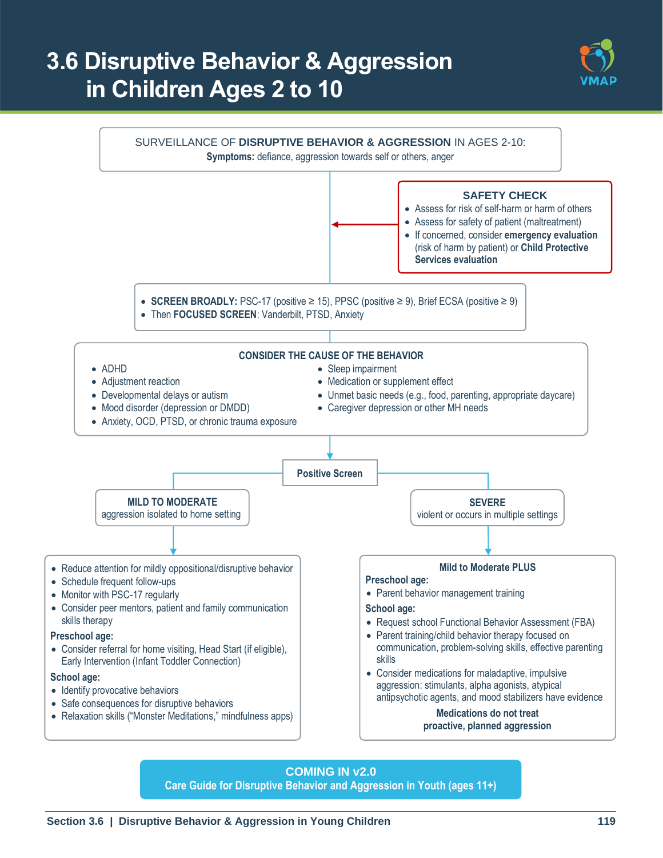# **3.6 Disruptive Behavior & Aggression in Children Ages 2 to 10**





**COMING IN v2.0 Care Guide for Disruptive Behavior and Aggression in Youth (ages 11+)**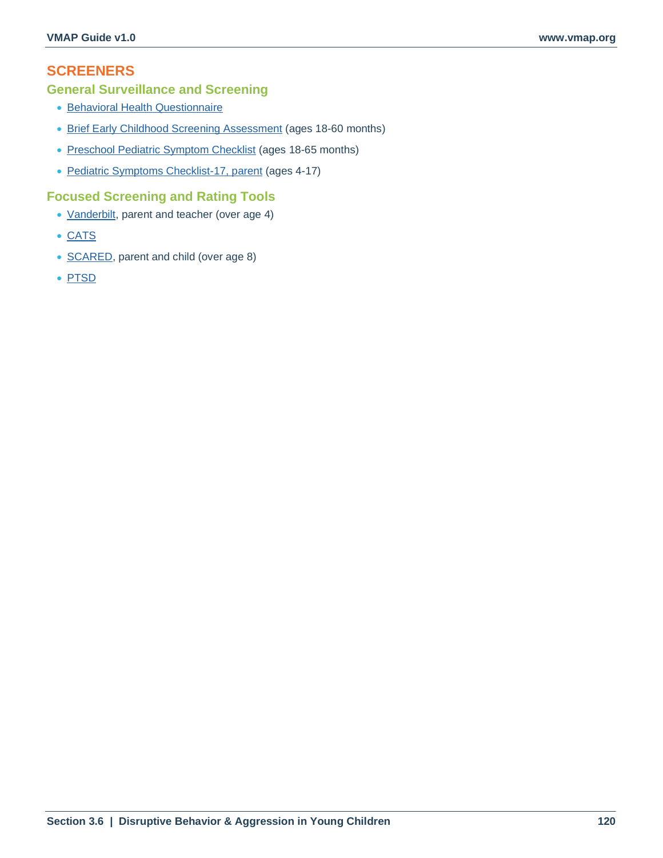# **SCREENERS**

### **General Surveillance and Screening**

- [Behavioral Health Questionnaire](#page--1-0)
- [Brief Early Childhood Screening Assessment](https://medicine.tulane.edu/sites/g/files/rdw761/f/Brief%20ECSA.pdf) (ages 18-60 months)
- [Preschool Pediatric Symptom Checklist](https://www.tuftschildrenshospital.org/The-Survey-of-Wellbeing-of-Young-Children/Overview) (ages 18-65 months)
- [Pediatric Symptoms Checklist-17, parent](https://www.massgeneral.org/psychiatry/treatments-and-services/pediatric-symptom-checklist) (ages 4-17)

#### **Focused Screening and Rating Tools**

- [Vanderbilt,](#page--1-0) parent and teacher (over age 4)
- [CATS](#page--1-0)
- [SCARED,](#page--1-0) parent and child (over age 8)
- [PTSD](#page--1-1)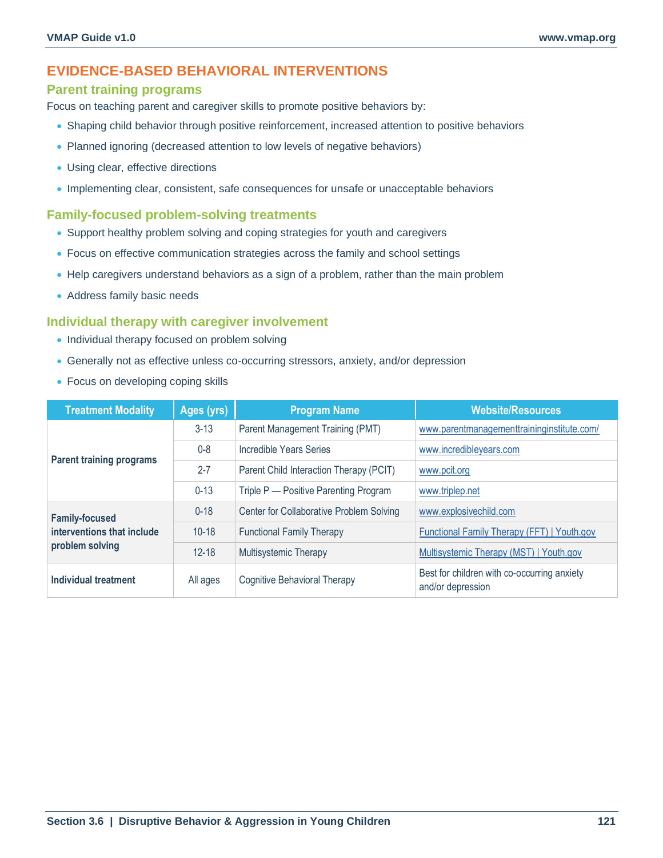## **EVIDENCE-BASED BEHAVIORAL INTERVENTIONS**

#### **Parent training programs**

Focus on teaching parent and caregiver skills to promote positive behaviors by:

- Shaping child behavior through positive reinforcement, increased attention to positive behaviors
- Planned ignoring (decreased attention to low levels of negative behaviors)
- Using clear, effective directions
- Implementing clear, consistent, safe consequences for unsafe or unacceptable behaviors

#### **Family-focused problem-solving treatments**

- Support healthy problem solving and coping strategies for youth and caregivers
- Focus on effective communication strategies across the family and school settings
- Help caregivers understand behaviors as a sign of a problem, rather than the main problem
- Address family basic needs

#### **Individual therapy with caregiver involvement**

- Individual therapy focused on problem solving
- Generally not as effective unless co-occurring stressors, anxiety, and/or depression
- Focus on developing coping skills

| <b>Treatment Modality</b>                           | Ages (yrs) | <b>Program Name</b>                      | <b>Website/Resources</b>                                         |
|-----------------------------------------------------|------------|------------------------------------------|------------------------------------------------------------------|
|                                                     | $3 - 13$   | Parent Management Training (PMT)         | www.parentmanagementtraininginstitute.com/                       |
| <b>Parent training programs</b>                     | $0 - 8$    | Incredible Years Series                  | www.incredibleyears.com                                          |
|                                                     | $2 - 7$    | Parent Child Interaction Therapy (PCIT)  | www.pcit.org                                                     |
|                                                     | $0 - 13$   | Triple P - Positive Parenting Program    | www.triplep.net                                                  |
| <b>Family-focused</b><br>interventions that include | $0 - 18$   | Center for Collaborative Problem Solving | www.explosivechild.com                                           |
|                                                     | $10 - 18$  | <b>Functional Family Therapy</b>         | Functional Family Therapy (FFT)   Youth.gov                      |
| problem solving                                     | $12 - 18$  | <b>Multisystemic Therapy</b>             | Multisystemic Therapy (MST)   Youth.gov                          |
| Individual treatment                                | All ages   | <b>Cognitive Behavioral Therapy</b>      | Best for children with co-occurring anxiety<br>and/or depression |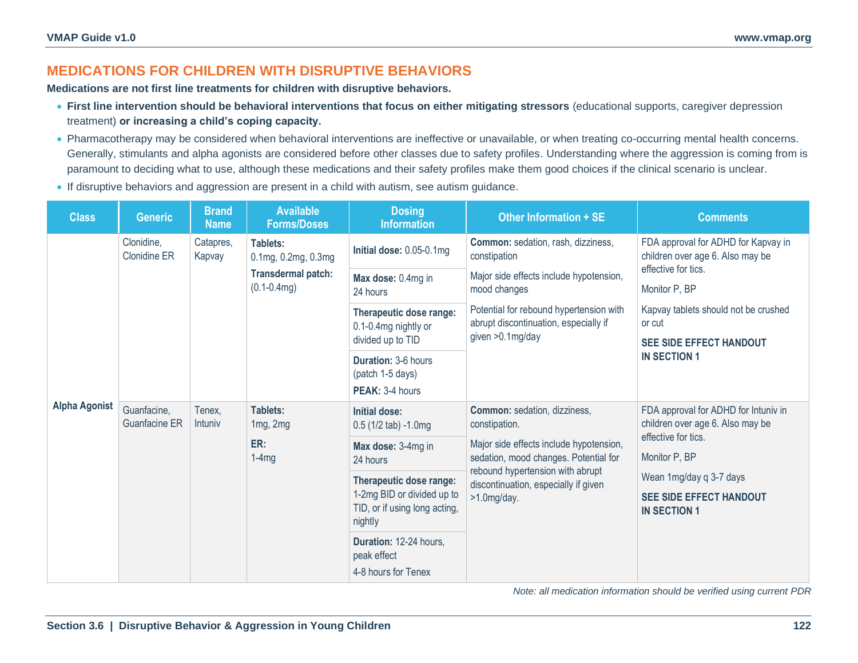# **MEDICATIONS FOR CHILDREN WITH DISRUPTIVE BEHAVIORS**

**Medications are not first line treatments for children with disruptive behaviors.**

- **First line intervention should be behavioral interventions that focus on either mitigating stressors** (educational supports, caregiver depression treatment) **or increasing a child's coping capacity.**
- Pharmacotherapy may be considered when behavioral interventions are ineffective or unavailable, or when treating co-occurring mental health concerns. Generally, stimulants and alpha agonists are considered before other classes due to safety profiles. Understanding where the aggression is coming from is paramount to deciding what to use, although these medications and their safety profiles make them good choices if the clinical scenario is unclear.
- If disruptive behaviors and aggression are present in a child with autism, see autism guidance.

| <b>Class</b>         | <b>Generic</b>                      | <b>Brand</b><br><b>Name</b> | <b>Available</b><br><b>Forms/Doses</b>                                   | <b>Dosing</b><br><b>Information</b>                                    | Other Information + SE                                                                                                                                                                                                          | <b>Comments</b>                                                                                                 |
|----------------------|-------------------------------------|-----------------------------|--------------------------------------------------------------------------|------------------------------------------------------------------------|---------------------------------------------------------------------------------------------------------------------------------------------------------------------------------------------------------------------------------|-----------------------------------------------------------------------------------------------------------------|
| <b>Alpha Agonist</b> | Clonidine,<br><b>Clonidine ER</b>   | Catapres,<br>Kapvay         | Tablets:<br>0.1mg, 0.2mg, 0.3mg<br>Transdermal patch:<br>$(0.1 - 0.4mg)$ | Initial dose: 0.05-0.1mg                                               | Common: sedation, rash, dizziness,<br>constipation<br>Major side effects include hypotension,<br>mood changes<br>Potential for rebound hypertension with<br>abrupt discontinuation, especially if<br>given >0.1mg/day           | FDA approval for ADHD for Kapvay in<br>children over age 6. Also may be<br>effective for tics.<br>Monitor P, BP |
|                      |                                     |                             |                                                                          | Max dose: 0.4mg in<br>24 hours                                         |                                                                                                                                                                                                                                 |                                                                                                                 |
|                      |                                     |                             |                                                                          | Therapeutic dose range:<br>0.1-0.4mg nightly or                        |                                                                                                                                                                                                                                 | Kapvay tablets should not be crushed<br>or cut                                                                  |
|                      |                                     |                             |                                                                          | divided up to TID                                                      |                                                                                                                                                                                                                                 | <b>SEE SIDE EFFECT HANDOUT</b>                                                                                  |
|                      |                                     |                             |                                                                          | <b>Duration: 3-6 hours</b><br>(patch 1-5 days)                         |                                                                                                                                                                                                                                 | <b>IN SECTION 1</b>                                                                                             |
|                      |                                     |                             |                                                                          | PEAK: 3-4 hours                                                        |                                                                                                                                                                                                                                 |                                                                                                                 |
|                      | Guanfacine,<br><b>Guanfacine ER</b> | Tenex,<br>Intuniy           | Tablets:<br>1mg, 2mg<br>ER:<br>$1-4mg$                                   | <b>Initial dose:</b><br>$0.5(1/2 tab) - 1.0mg$                         | Common: sedation, dizziness,<br>constipation.<br>Major side effects include hypotension,<br>sedation, mood changes. Potential for<br>rebound hypertension with abrupt<br>discontinuation, especially if given<br>$>1.0$ mg/day. | FDA approval for ADHD for Intuniv in<br>children over age 6. Also may be<br>effective for tics.                 |
|                      |                                     |                             |                                                                          | Max dose: 3-4mg in<br>24 hours                                         |                                                                                                                                                                                                                                 | Monitor P, BP                                                                                                   |
|                      |                                     |                             |                                                                          | Therapeutic dose range:                                                |                                                                                                                                                                                                                                 | Wean 1mg/day q 3-7 days                                                                                         |
|                      |                                     |                             |                                                                          | 1-2mg BID or divided up to<br>TID, or if using long acting,<br>nightly |                                                                                                                                                                                                                                 | <b>SEE SIDE EFFECT HANDOUT</b><br><b>IN SECTION 1</b>                                                           |
|                      |                                     |                             |                                                                          | Duration: 12-24 hours.<br>peak effect                                  |                                                                                                                                                                                                                                 |                                                                                                                 |
|                      |                                     |                             |                                                                          | 4-8 hours for Tenex                                                    |                                                                                                                                                                                                                                 |                                                                                                                 |

*Note: all medication information should be verified using current PDR*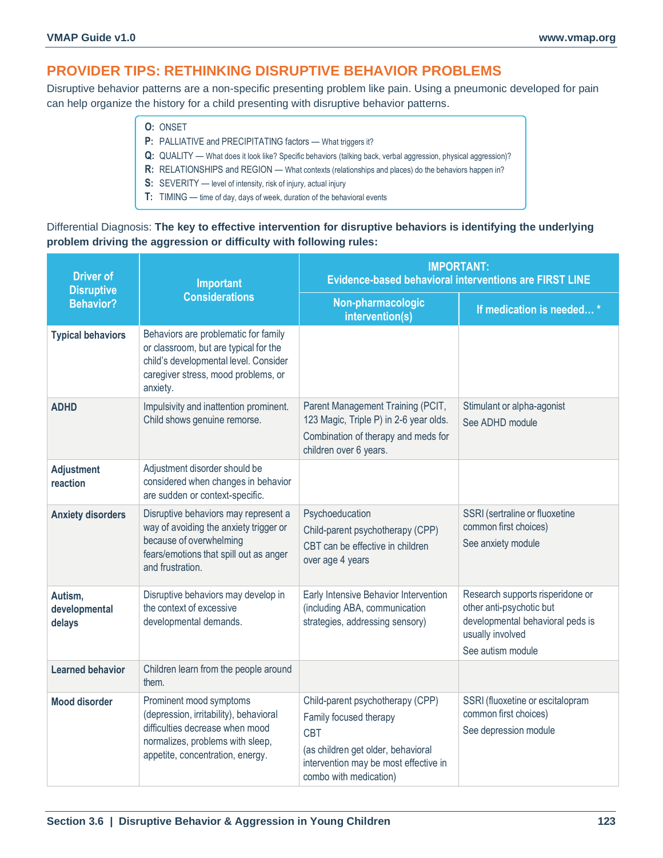## **PROVIDER TIPS: RETHINKING DISRUPTIVE BEHAVIOR PROBLEMS**

Disruptive behavior patterns are a non-specific presenting problem like pain. Using a pneumonic developed for pain can help organize the history for a child presenting with disruptive behavior patterns.

- **O:** ONSET
- **P**: PALLIATIVE and PRECIPITATING factors What triggers it?
- **Q:** QUALITY What does it look like? Specific behaviors (talking back, verbal aggression, physical aggression)?
- **R:** RELATIONSHIPS and REGION What contexts (relationships and places) do the behaviors happen in?
- **S:** SEVERITY level of intensity, risk of injury, actual injury
- **T:** TIMING time of day, days of week, duration of the behavioral events

#### Differential Diagnosis: **The key to effective intervention for disruptive behaviors is identifying the underlying problem driving the aggression or difficulty with following rules:**

| <b>Driver of</b><br><b>Disruptive</b> | Important                                                                                                                                                                    | <b>IMPORTANT:</b><br><b>Evidence-based behavioral interventions are FIRST LINE</b>                                                                                                |                                                                                                                                           |  |
|---------------------------------------|------------------------------------------------------------------------------------------------------------------------------------------------------------------------------|-----------------------------------------------------------------------------------------------------------------------------------------------------------------------------------|-------------------------------------------------------------------------------------------------------------------------------------------|--|
| <b>Behavior?</b>                      | <b>Considerations</b>                                                                                                                                                        | Non-pharmacologic<br>intervention(s)                                                                                                                                              | If medication is needed*                                                                                                                  |  |
| <b>Typical behaviors</b>              | Behaviors are problematic for family<br>or classroom, but are typical for the<br>child's developmental level. Consider<br>caregiver stress, mood problems, or<br>anxiety.    |                                                                                                                                                                                   |                                                                                                                                           |  |
| <b>ADHD</b>                           | Impulsivity and inattention prominent.<br>Child shows genuine remorse.                                                                                                       | Parent Management Training (PCIT,<br>123 Magic, Triple P) in 2-6 year olds.<br>Combination of therapy and meds for<br>children over 6 years.                                      | Stimulant or alpha-agonist<br>See ADHD module                                                                                             |  |
| <b>Adjustment</b><br>reaction         | Adjustment disorder should be<br>considered when changes in behavior<br>are sudden or context-specific.                                                                      |                                                                                                                                                                                   |                                                                                                                                           |  |
| <b>Anxiety disorders</b>              | Disruptive behaviors may represent a<br>way of avoiding the anxiety trigger or<br>because of overwhelming<br>fears/emotions that spill out as anger<br>and frustration.      | Psychoeducation<br>Child-parent psychotherapy (CPP)<br>CBT can be effective in children<br>over age 4 years                                                                       | SSRI (sertraline or fluoxetine<br>common first choices)<br>See anxiety module                                                             |  |
| Autism,<br>developmental<br>delays    | Disruptive behaviors may develop in<br>the context of excessive<br>developmental demands.                                                                                    | Early Intensive Behavior Intervention<br>(including ABA, communication<br>strategies, addressing sensory)                                                                         | Research supports risperidone or<br>other anti-psychotic but<br>developmental behavioral peds is<br>usually involved<br>See autism module |  |
| <b>Learned behavior</b>               | Children learn from the people around<br>them.                                                                                                                               |                                                                                                                                                                                   |                                                                                                                                           |  |
| <b>Mood disorder</b>                  | Prominent mood symptoms<br>(depression, irritability), behavioral<br>difficulties decrease when mood<br>normalizes, problems with sleep,<br>appetite, concentration, energy. | Child-parent psychotherapy (CPP)<br>Family focused therapy<br><b>CBT</b><br>(as children get older, behavioral<br>intervention may be most effective in<br>combo with medication) | SSRI (fluoxetine or escitalopram<br>common first choices)<br>See depression module                                                        |  |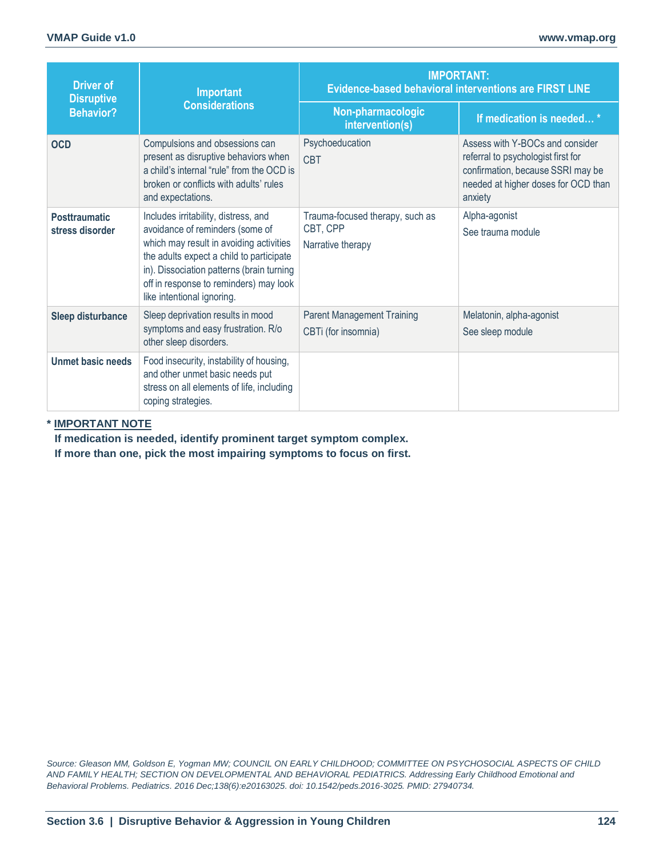| <b>Driver of</b><br><b>Disruptive</b>   | Important                                                                                                                                                                                                                                                                           | <b>IMPORTANT:</b><br><b>Evidence-based behavioral interventions are FIRST LINE</b> |                                                                                                                                                              |  |
|-----------------------------------------|-------------------------------------------------------------------------------------------------------------------------------------------------------------------------------------------------------------------------------------------------------------------------------------|------------------------------------------------------------------------------------|--------------------------------------------------------------------------------------------------------------------------------------------------------------|--|
| <b>Behavior?</b>                        | <b>Considerations</b>                                                                                                                                                                                                                                                               | Non-pharmacologic<br>intervention(s)                                               | If medication is needed*                                                                                                                                     |  |
| <b>OCD</b>                              | Compulsions and obsessions can<br>present as disruptive behaviors when<br>a child's internal "rule" from the OCD is<br>broken or conflicts with adults' rules<br>and expectations.                                                                                                  | Psychoeducation<br><b>CBT</b>                                                      | Assess with Y-BOCs and consider<br>referral to psychologist first for<br>confirmation, because SSRI may be<br>needed at higher doses for OCD than<br>anxiety |  |
| <b>Posttraumatic</b><br>stress disorder | Includes irritability, distress, and<br>avoidance of reminders (some of<br>which may result in avoiding activities<br>the adults expect a child to participate<br>in). Dissociation patterns (brain turning<br>off in response to reminders) may look<br>like intentional ignoring. | Trauma-focused therapy, such as<br>CBT, CPP<br>Narrative therapy                   | Alpha-agonist<br>See trauma module                                                                                                                           |  |
| <b>Sleep disturbance</b>                | Sleep deprivation results in mood<br>symptoms and easy frustration. R/o<br>other sleep disorders.                                                                                                                                                                                   | <b>Parent Management Training</b><br>CBTi (for insomnia)                           | Melatonin, alpha-agonist<br>See sleep module                                                                                                                 |  |
| Unmet basic needs                       | Food insecurity, instability of housing,<br>and other unmet basic needs put<br>stress on all elements of life, including<br>coping strategies.                                                                                                                                      |                                                                                    |                                                                                                                                                              |  |

#### **\* IMPORTANT NOTE**

**If medication is needed, identify prominent target symptom complex. If more than one, pick the most impairing symptoms to focus on first.**

*Source: Gleason MM, Goldson E, Yogman MW; COUNCIL ON EARLY CHILDHOOD; COMMITTEE ON PSYCHOSOCIAL ASPECTS OF CHILD AND FAMILY HEALTH; SECTION ON DEVELOPMENTAL AND BEHAVIORAL PEDIATRICS. Addressing Early Childhood Emotional and Behavioral Problems. Pediatrics. 2016 Dec;138(6):e20163025. doi: 10.1542/peds.2016-3025. PMID: 27940734.*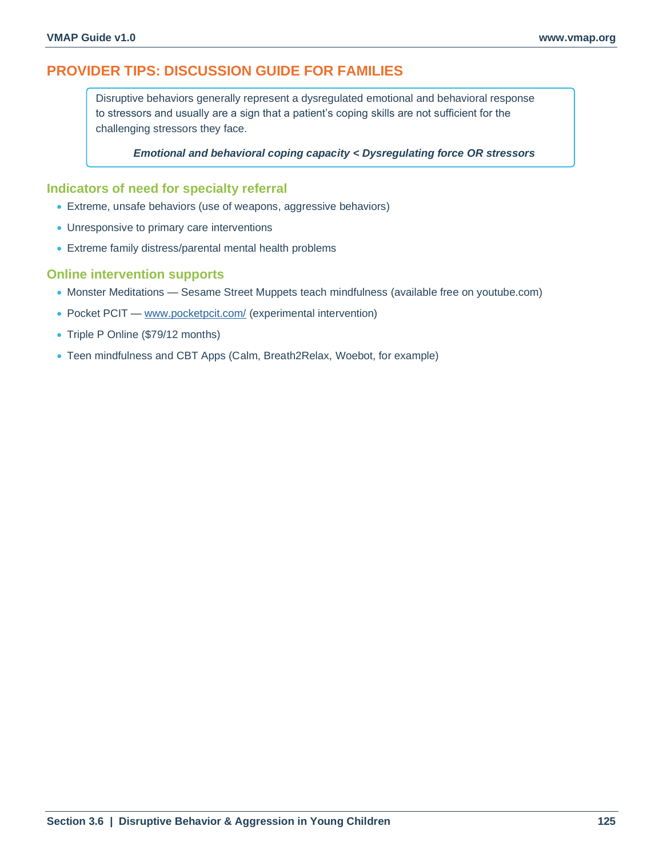## **PROVIDER TIPS: DISCUSSION GUIDE FOR FAMILIES**

Disruptive behaviors generally represent a dysregulated emotional and behavioral response to stressors and usually are a sign that a patient's coping skills are not sufficient for the challenging stressors they face.

*Emotional and behavioral coping capacity < Dysregulating force OR stressors*

#### **Indicators of need for specialty referral**

- Extreme, unsafe behaviors (use of weapons, aggressive behaviors)
- Unresponsive to primary care interventions
- Extreme family distress/parental mental health problems

#### **Online intervention supports**

- Monster Meditations Sesame Street Muppets teach mindfulness (available free on youtube.com)
- Pocket PCIT [www.pocketpcit.com/](https://www.pocketpcit.com/) (experimental intervention)
- Triple P Online (\$79/12 months)
- Teen mindfulness and CBT Apps (Calm, Breath2Relax, Woebot, for example)